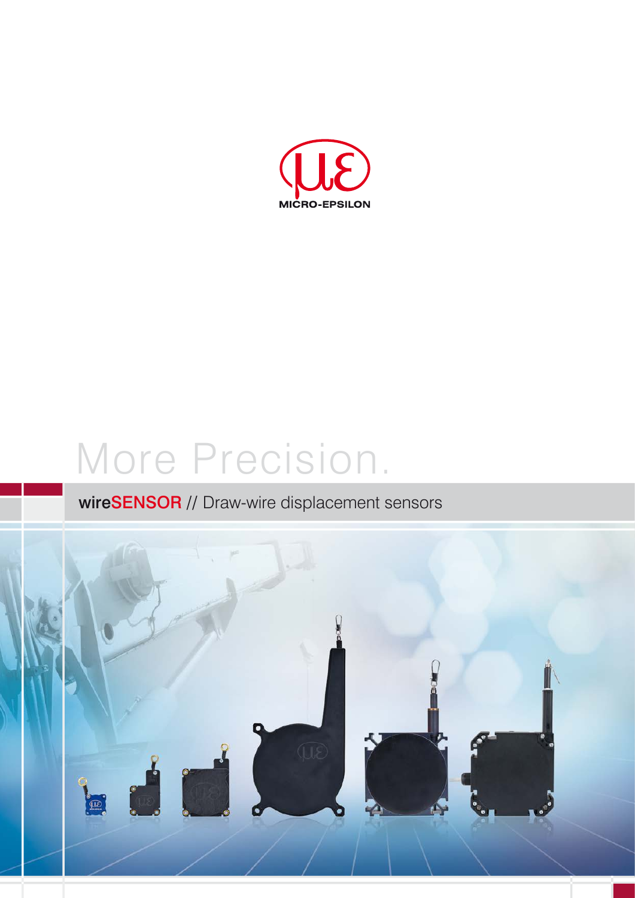

# More Precision.

## wireSENSOR // Draw-wire displacement sensors

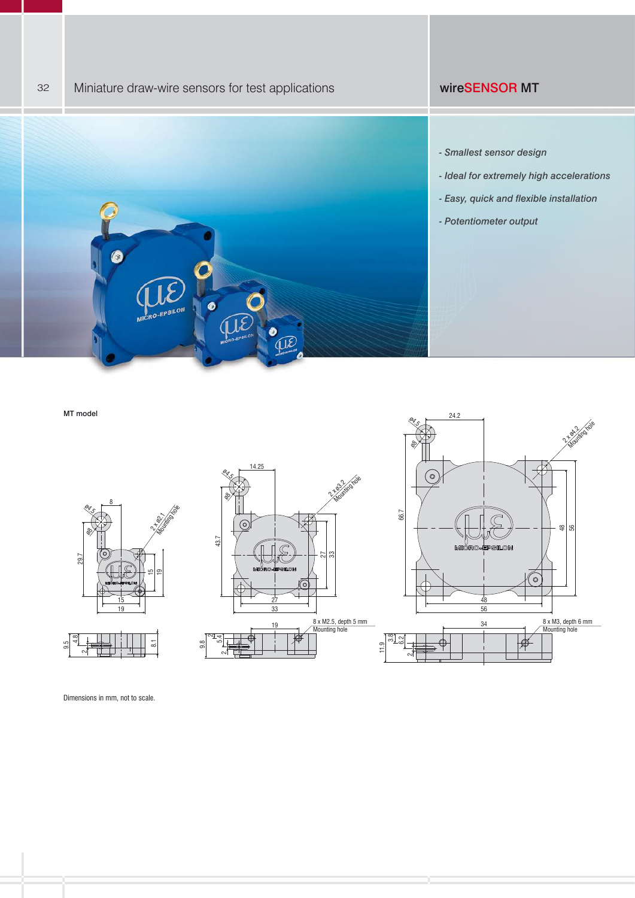## 32 Miniature draw-wire sensors for test applications with the state of the MT



- *Ideal for extremely high accelerations*
- *Easy, quick and flexible installation*
- *Potentiometer output*

MT model



Dimensions in mm, not to scale.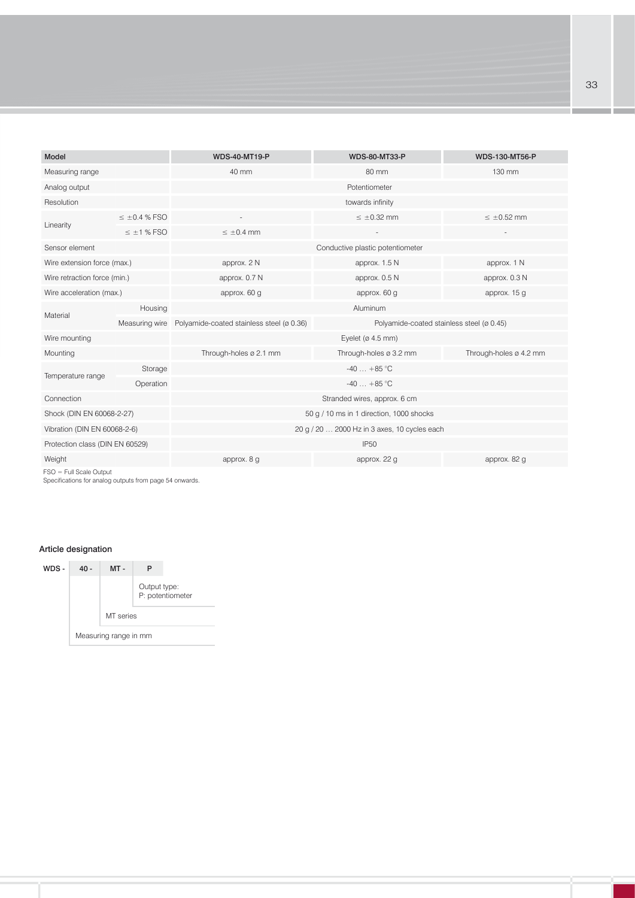| <b>Model</b>                    |                   | <b>WDS-40-MT19-P</b>                                     | <b>WDS-80-MT33-P</b>                         | <b>WDS-130-MT56-P</b>    |
|---------------------------------|-------------------|----------------------------------------------------------|----------------------------------------------|--------------------------|
| Measuring range                 |                   | 40 mm                                                    | 80 mm                                        | 130 mm                   |
| Analog output                   |                   |                                                          | Potentiometer                                |                          |
| Resolution                      |                   |                                                          | towards infinity                             |                          |
| Linearity                       | $\leq$ ±0.4 % FSO |                                                          | $\leq \pm 0.32$ mm                           | $\leq \pm 0.52$ mm       |
|                                 | $\leq$ ±1 % FSO   | $\leq \pm 0.4$ mm                                        |                                              | $\overline{\phantom{a}}$ |
| Sensor element                  |                   |                                                          | Conductive plastic potentiometer             |                          |
| Wire extension force (max.)     |                   | approx. 2 N                                              | approx. 1.5 N                                | approx. 1 N              |
| Wire retraction force (min.)    |                   | approx. 0.7 N                                            | approx. 0.5 N                                | approx. 0.3 N            |
| Wire acceleration (max.)        |                   | approx. 60 g                                             | approx. 60 g                                 | approx. 15 g             |
| Material                        | Housing           |                                                          | Aluminum                                     |                          |
|                                 |                   | Measuring wire Polyamide-coated stainless steel (ø 0.36) | Polyamide-coated stainless steel (ø 0.45)    |                          |
| Wire mounting                   |                   |                                                          | Eyelet ( $\varnothing$ 4.5 mm)               |                          |
| Mounting                        |                   | Through-holes ø 2.1 mm                                   | Through-holes ø 3.2 mm                       | Through-holes ø 4.2 mm   |
|                                 | Storage           |                                                          | $-40 + 85$ °C                                |                          |
| Temperature range               | Operation         |                                                          | $-40 + 85$ °C                                |                          |
| Connection                      |                   |                                                          | Stranded wires, approx. 6 cm                 |                          |
| Shock (DIN EN 60068-2-27)       |                   |                                                          | 50 g / 10 ms in 1 direction, 1000 shocks     |                          |
| Vibration (DIN EN 60068-2-6)    |                   |                                                          | 20 g / 20  2000 Hz in 3 axes, 10 cycles each |                          |
| Protection class (DIN EN 60529) |                   |                                                          | <b>IP50</b>                                  |                          |
| Weight                          |                   | approx. 8 g                                              | approx. 22 g                                 | approx. 82 g             |
| $ECO = E$ ull Coolo Output      |                   |                                                          |                                              |                          |

FSO = Full Scale Output Specifications for analog outputs from page 54 onwards.

## Article designation

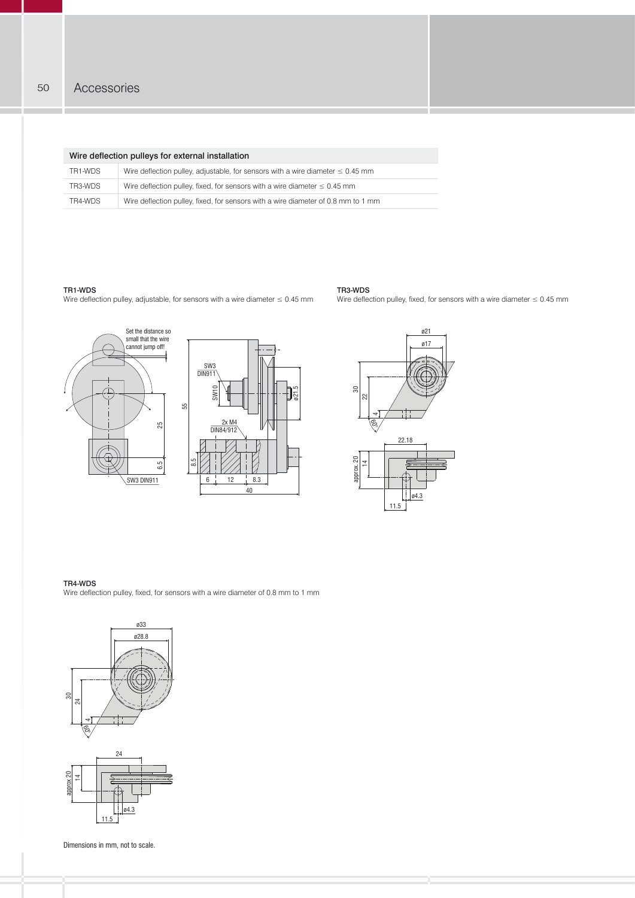|         | Wire deflection pulleys for external installation                                   |
|---------|-------------------------------------------------------------------------------------|
| TR1-WDS | Wire deflection pulley, adjustable, for sensors with a wire diameter $\leq 0.45$ mm |
| TR3-WDS | Wire deflection pulley, fixed, for sensors with a wire diameter $\leq 0.45$ mm      |
| TR4-WDS | Wire deflection pulley, fixed, for sensors with a wire diameter of 0.8 mm to 1 mm   |

#### TR1-WDS

Wire deflection pulley, adjustable, for sensors with a wire diameter  $\leq 0.45$  mm







Wire deflection pulley, fixed, for sensors with a wire diameter  $\leq 0.45$  mm

TR3-WDS

TR4-WDS<br>Wire deflection pulley, fixed, for sensors with a wire diameter of 0.8 mm to 1 mm



Dimensions in mm, not to scale.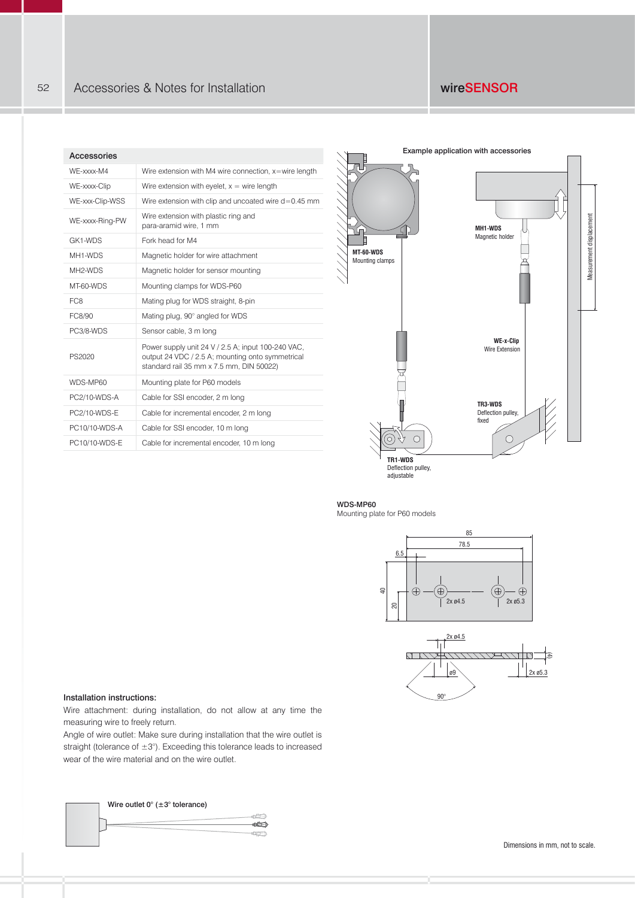#### Accessories

| AULUSSUITUS          |                                                                                                                                                    |
|----------------------|----------------------------------------------------------------------------------------------------------------------------------------------------|
| WE-xxxx-M4           | Wire extension with M4 wire connection, x=wire length                                                                                              |
| WE-xxxx-Clip         | Wire extension with eyelet, $x =$ wire length                                                                                                      |
| WE-xxx-Clip-WSS      | Wire extension with clip and uncoated wire d=0.45 mm                                                                                               |
| WE-xxxx-Ring-PW      | Wire extension with plastic ring and<br>para-aramid wire, 1 mm                                                                                     |
| GK1-WDS              | Fork head for M4                                                                                                                                   |
| MH1-WDS              | Magnetic holder for wire attachment                                                                                                                |
| MH <sub>2</sub> -WDS | Magnetic holder for sensor mounting                                                                                                                |
| MT-60-WDS            | Mounting clamps for WDS-P60                                                                                                                        |
| FC <sub>8</sub>      | Mating plug for WDS straight, 8-pin                                                                                                                |
| FC8/90               | Mating plug, 90° angled for WDS                                                                                                                    |
| PC3/8-WDS            | Sensor cable, 3 m long                                                                                                                             |
| PS2020               | Power supply unit 24 V / 2.5 A; input 100-240 VAC,<br>output 24 VDC / 2.5 A; mounting onto symmetrical<br>standard rail 35 mm x 7.5 mm, DIN 50022) |
| WDS-MP60             | Mounting plate for P60 models                                                                                                                      |
| PC2/10-WDS-A         | Cable for SSI encoder, 2 m long                                                                                                                    |
| PC2/10-WDS-E         | Cable for incremental encoder, 2 m long                                                                                                            |
| PC10/10-WDS-A        | Cable for SSI encoder, 10 m long                                                                                                                   |
| PC10/10-WDS-E        | Cable for incremental encoder, 10 m long                                                                                                           |
|                      |                                                                                                                                                    |



### WDS-MP60

Mounting plate for P60 models





#### Installation instructions:

Wire attachment: during installation, do not allow at any time the measuring wire to freely return.

Angle of wire outlet: Make sure during installation that the wire outlet is straight (tolerance of  $\pm 3^{\circ}$ ). Exceeding this tolerance leads to increased wear of the wire material and on the wire outlet.



Dimensions in mm, not to scale.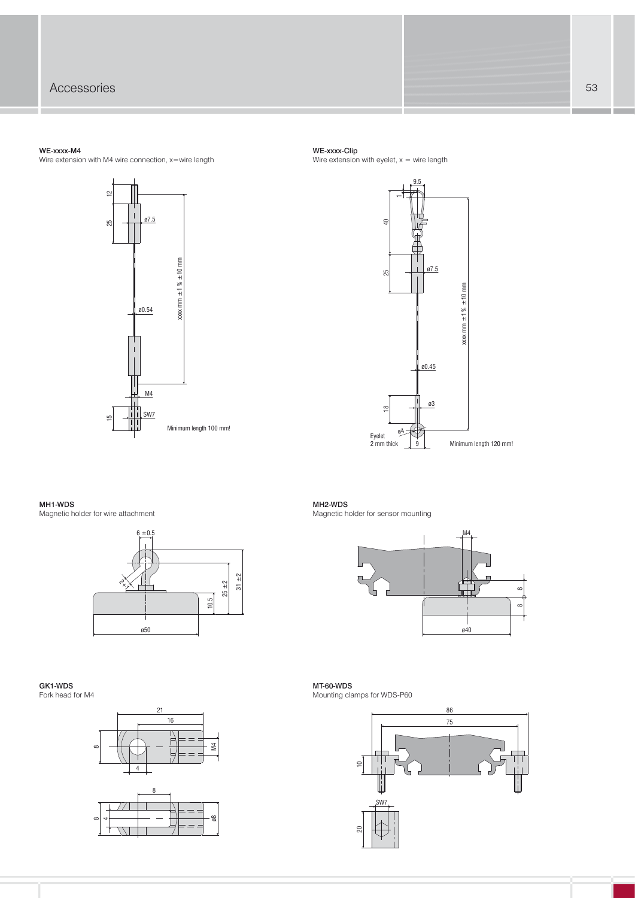#### WE-xxxx-M4

Wire extension with M4 wire connection, x=wire length



#### WE-xxxx-Clip

Wire extension with eyelet,  $x =$  wire length



#### MH1-WDS

Magnetic holder for wire attachment



MH2-WDS Magnetic holder for sensor mounting



#### GK1-WDS Fork head for M4



MT-60-WDS Mounting clamps for WDS-P60

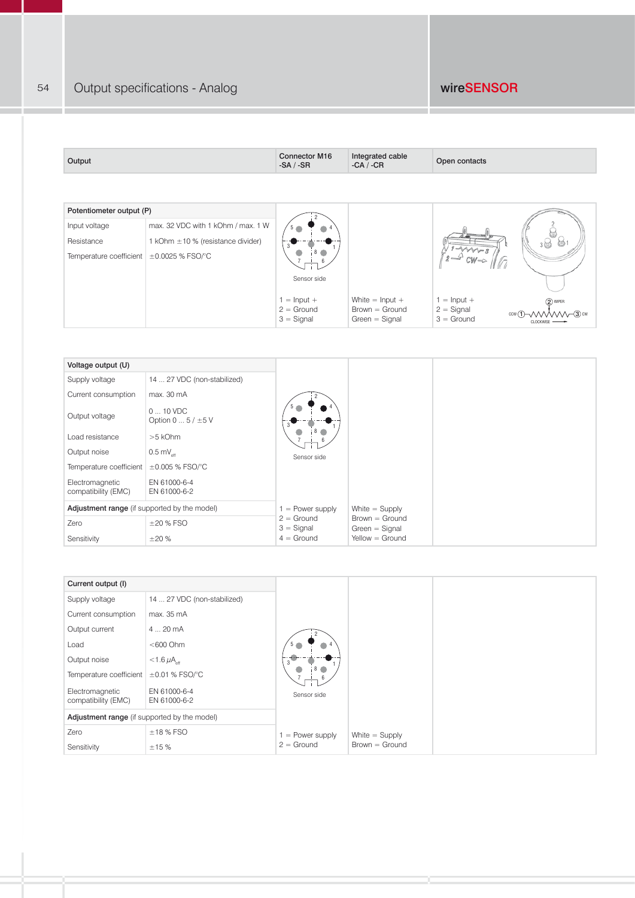| Output                                        |                                        | <b>Connector M16</b><br>$-SA / -SR$ | Integrated cable<br>$-CA / -CR$      | Open contacts                                                       |
|-----------------------------------------------|----------------------------------------|-------------------------------------|--------------------------------------|---------------------------------------------------------------------|
|                                               |                                        |                                     |                                      |                                                                     |
| Potentiometer output (P)                      |                                        |                                     |                                      |                                                                     |
| Input voltage                                 | max. 32 VDC with 1 kOhm / max. 1 W     |                                     |                                      |                                                                     |
| Resistance                                    | 1 kOhm $\pm$ 10 % (resistance divider) |                                     |                                      |                                                                     |
| Temperature coefficient $\pm 0.0025$ % FSO/°C |                                        |                                     |                                      |                                                                     |
|                                               |                                        | Sensor side                         |                                      |                                                                     |
|                                               |                                        | $1 =$ Input +                       | White $=$ Input $+$                  | $1 =$ Input +<br>(2) WIPER                                          |
|                                               |                                        | $2 =$ Ground<br>$3 =$ Signal        | $Brown = Ground$<br>$Green = Signal$ | $2 =$ Signal<br>$\neg$ 3) cw<br>ccw(1)<br>$3 =$ Ground<br>CLOCKWISE |

| Voltage output (U)                           |                                             |                              |                                                         |  |
|----------------------------------------------|---------------------------------------------|------------------------------|---------------------------------------------------------|--|
| Supply voltage                               | 14  27 VDC (non-stabilized)                 |                              |                                                         |  |
| Current consumption                          | max. 30 mA                                  |                              |                                                         |  |
| Output voltage                               | $010$ VDC<br>Option 0 $\dots$ 5 / $\pm$ 5 V |                              |                                                         |  |
| Load resistance                              | $>5$ kOhm                                   | 6                            |                                                         |  |
| Output noise                                 | 0.5 m $V_{\text{eff}}$                      | Sensor side                  |                                                         |  |
| Temperature coefficient                      | $\pm 0.005$ % FSO/°C                        |                              |                                                         |  |
| Electromagnetic<br>compatibility (EMC)       | EN 61000-6-4<br>EN 61000-6-2                |                              |                                                         |  |
| Adjustment range (if supported by the model) |                                             | $=$ Power supply             | White $=$ Supply                                        |  |
| Zero                                         | $\pm 20$ % FSO                              | $2 =$ Ground<br>$3 =$ Signal | $Brown = Ground$<br>$Green = Signal$<br>Yellow = Ground |  |
| Sensitivity                                  | $\pm 20\%$                                  | $4 =$ Ground                 |                                                         |  |

| Current output (I)                           |                                |                    |                  |
|----------------------------------------------|--------------------------------|--------------------|------------------|
| Supply voltage                               | 14  27 VDC (non-stabilized)    |                    |                  |
| Current consumption                          | max. 35 mA                     |                    |                  |
| Output current                               | 420mA                          |                    |                  |
| Load                                         | $<$ 600 Ohm                    | 5 <sub>o</sub>     |                  |
| Output noise                                 | $<$ 1.6 $\mu$ A <sub>off</sub> |                    |                  |
| Temperature coefficient $\pm 0.01$ % FSO/°C  |                                | 6                  |                  |
| Electromagnetic<br>compatibility (EMC)       | EN 61000-6-4<br>EN 61000-6-2   | Sensor side        |                  |
| Adjustment range (if supported by the model) |                                |                    |                  |
| Zero                                         | $±18\%$ FSO                    | $1 = Power supply$ | White $=$ Supply |
| Sensitivity                                  | ±15%                           | $2 =$ Ground       | $Brown = Ground$ |

54